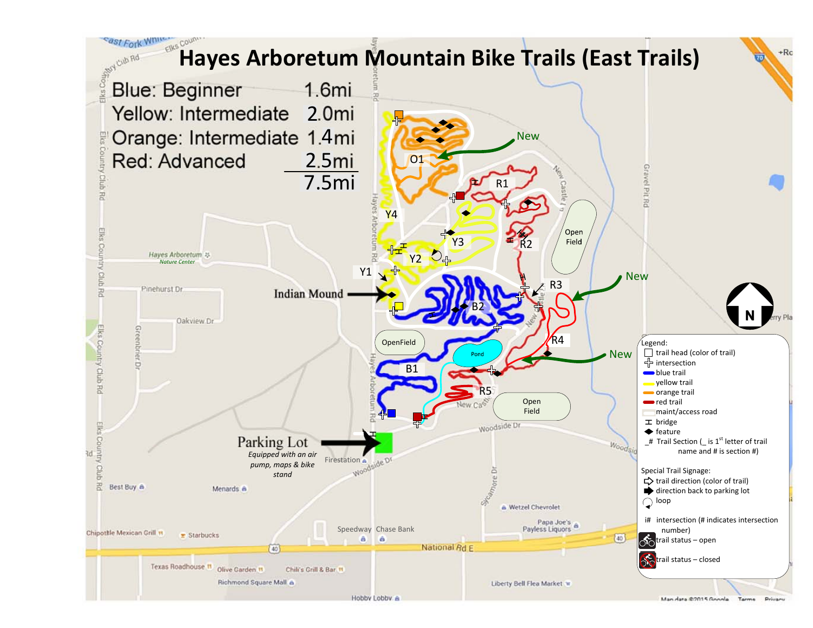